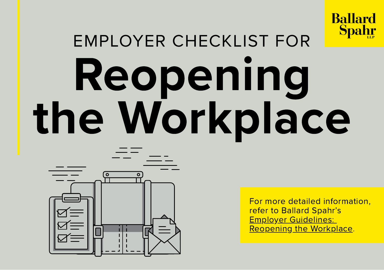

# EMPLOYER CHECKLIST FOR Reopening the Workplace



For more detailed information, refer to Ballard Spahr's **Employer Guidelines:** Reopening the [Workplace](https://www.ballardspahr.com/-/media/files/alerts/employer-guidelines-reopening-the-workplace---05-20.pdf).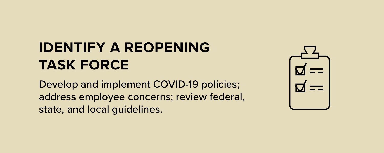#### IDENTIFY A REOPENING TASK FORCE

Develop and implement COVID-19 policies; address employee concerns; review federal, state, and local guidelines.

| ロ                   |  |  |
|---------------------|--|--|
| $\overline{\bm{u}}$ |  |  |
|                     |  |  |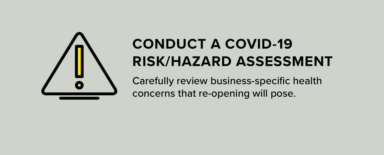

# CONDUCT A COVID-19 RISK/HAZARD ASSESSMENT

Carefully review business-specific health concerns that re-opening will pose.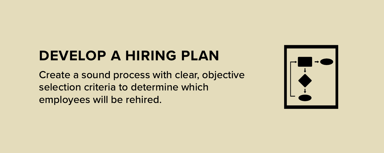#### DEVELOP A HIRING PLAN

Create a sound process with clear, objective selection criteria to determine which employees will be rehired.

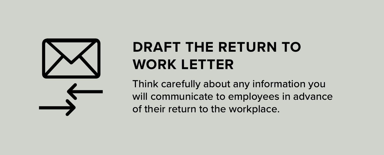

#### DRAFT THE RETURN TO WORK LETTER

Think carefully about any information you will communicate to employees in advance of their return to the workplace.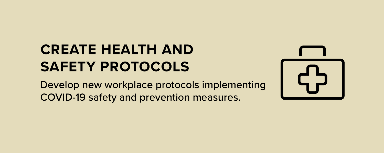#### CREATE HEALTH AND SAFETY PROTOCOLS

Develop new workplace protocols implementing COVID-19 safety and prevention measures.

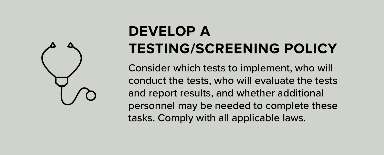

# DEVELOP A TESTING/SCREENING POLICY

Consider which tests to implement, who will conduct the tests, who will evaluate the tests and report results, and whether additional personnel may be needed to complete these tasks. Comply with all applicable laws.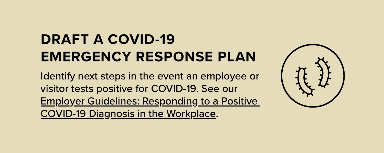#### DRAFT A COVID-19 EMERGENCY RESPONSE PLAN

Identify next steps in the event an employee or visitor tests positive for COVID-19. See our Employer Guidelines: Responding to a Positive COVID-19 Diagnosis in the [Workplace.](https://www.ballardspahr.com/-/media/files/alerts/covid-19-responding-to-positive-diagnosis---04-17-20.pdf)

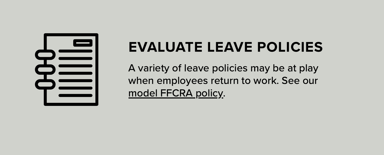

#### EVALUATE LEAVE POLICIES

A variety of leave policies may be at play when employees return to work. See our model [FFCRA](https://www.ballardspahr.com/-/media/files/alerts/covid19--model-ffcra-policy-revised-with-41020-dol--041320.docx?la=en&hash=A774E63F729878B97F31EE381D416B9C) policy.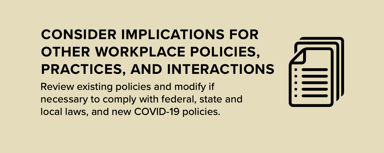# CONSIDER IMPLICATIONS FOR OTHER WORKPLACE POLICIES, PRACTICES, AND INTERACTIONS

Review existing policies and modify if necessary to comply with federal, state and local laws, and new COVID-19 policies.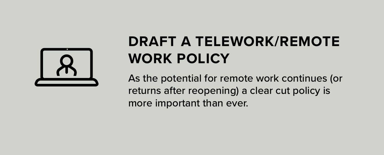

# DRAFT A TELEWORK/REMOTE WORK POLICY

As the potential for remote work continues (or returns after reopening) a clear cut policy is more important than ever.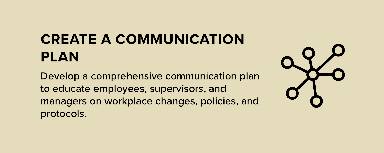# CREATE A COMMUNICATION PLAN

Develop a comprehensive communication plan to educate employees, supervisors, and managers on workplace changes, policies, and protocols.

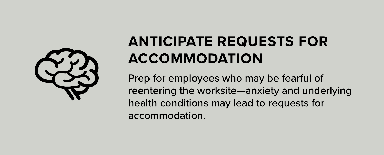

# ANTICIPATE REQUESTS FOR ACCOMMODATION

Prep for employees who may be fearful of reentering the worksite—anxiety and underlying health conditions may lead to requests for accommodation.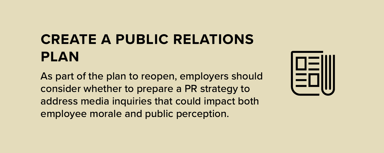# CREATE A PUBLIC RELATIONS PLAN

As part of the plan to reopen, employers should consider whether to prepare a PR strategy to address media inquiries that could impact both employee morale and public perception.

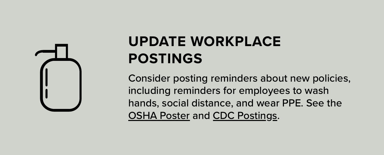

# UPDATE WORKPLACE POSTINGS

Consider posting reminders about new policies, including reminders for employees to wash hands, social distance, and wear PPE. See the OSHA [Poster](https://www.osha.gov/Publications/OSHA3994.pdf) and CDC [Postings.](https://www.cdc.gov/coronavirus/2019-ncov/communication/print-resources.html?Sort=Date::desc)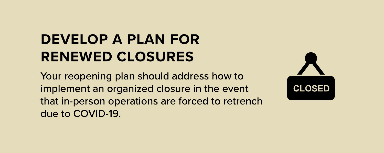## DEVELOP A PLAN FOR RENEWED CLOSURES

Your reopening plan should address how to implement an organized closure in the event that in-person operations are forced to retrench due to COVID-19.